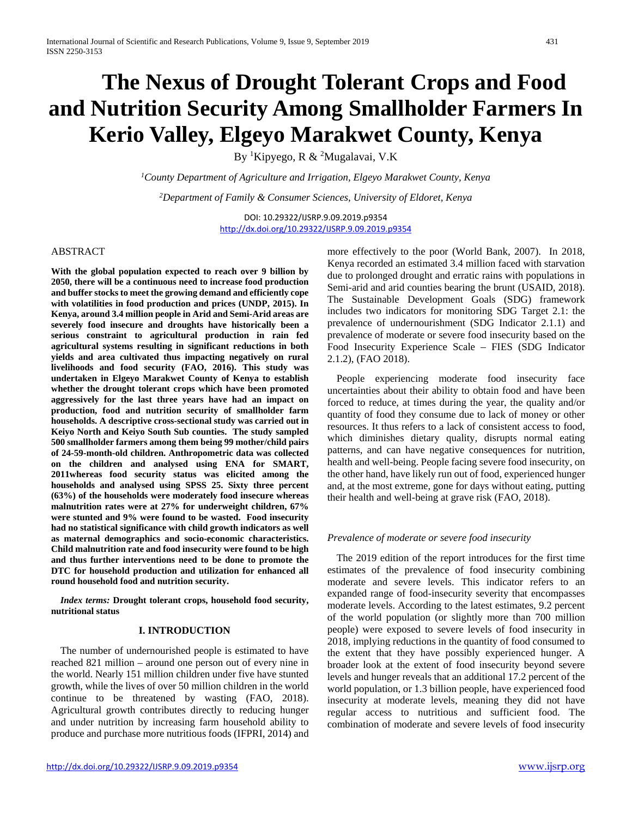# **The Nexus of Drought Tolerant Crops and Food and Nutrition Security Among Smallholder Farmers In Kerio Valley, Elgeyo Marakwet County, Kenya**

By <sup>1</sup>Kipyego, R & <sup>2</sup>Mugalavai, V.K

*1 County Department of Agriculture and Irrigation, Elgeyo Marakwet County, Kenya*

*2 Department of Family & Consumer Sciences, University of Eldoret, Kenya*

DOI: 10.29322/IJSRP.9.09.2019.p9354 <http://dx.doi.org/10.29322/IJSRP.9.09.2019.p9354>

#### ABSTRACT

**With the global population expected to reach over 9 billion by 2050, there will be a continuous need to increase food production and buffer stocks to meet the growing demand and efficiently cope with volatilities in food production and prices (UNDP, 2015). In Kenya, around 3.4 million people in Arid and Semi-Arid areas are severely food insecure and droughts have historically been a serious constraint to agricultural production in rain fed agricultural systems resulting in significant reductions in both yields and area cultivated thus impacting negatively on rural livelihoods and food security (FAO, 2016). This study was undertaken in Elgeyo Marakwet County of Kenya to establish whether the drought tolerant crops which have been promoted aggressively for the last three years have had an impact on production, food and nutrition security of smallholder farm households. A descriptive cross-sectional study was carried out in Keiyo North and Keiyo South Sub counties. The study sampled 500 smallholder farmers among them being 99 mother/child pairs of 24-59-month-old children. Anthropometric data was collected on the children and analysed using ENA for SMART, 2011whereas food security status was elicited among the households and analysed using SPSS 25. Sixty three percent (63%) of the households were moderately food insecure whereas malnutrition rates were at 27% for underweight children, 67% were stunted and 9% were found to be wasted. Food insecurity had no statistical significance with child growth indicators as well as maternal demographics and socio-economic characteristics. Child malnutrition rate and food insecurity were found to be high and thus further interventions need to be done to promote the DTC for household production and utilization for enhanced all round household food and nutrition security.** 

*Index terms:* **Drought tolerant crops, household food security, nutritional status** 

#### **I. INTRODUCTION**

The number of undernourished people is estimated to have reached 821 million – around one person out of every nine in the world. Nearly 151 million children under five have stunted growth, while the lives of over 50 million children in the world continue to be threatened by wasting (FAO, 2018). Agricultural growth contributes directly to reducing hunger and under nutrition by increasing farm household ability to produce and purchase more nutritious foods (IFPRI, 2014) and more effectively to the poor (World Bank, 2007). In 2018, Kenya recorded an estimated 3.4 million faced with starvation due to prolonged drought and erratic rains with populations in Semi-arid and arid counties bearing the brunt (USAID, 2018). The Sustainable Development Goals (SDG) framework includes two indicators for monitoring SDG Target 2.1: the prevalence of undernourishment (SDG Indicator 2.1.1) and prevalence of moderate or severe food insecurity based on the Food Insecurity Experience Scale – FIES (SDG Indicator 2.1.2), (FAO 2018).

People experiencing moderate food insecurity face uncertainties about their ability to obtain food and have been forced to reduce, at times during the year, the quality and/or quantity of food they consume due to lack of money or other resources. It thus refers to a lack of consistent access to food, which diminishes dietary quality, disrupts normal eating patterns, and can have negative consequences for nutrition, health and well-being. People facing severe food insecurity, on the other hand, have likely run out of food, experienced hunger and, at the most extreme, gone for days without eating, putting their health and well-being at grave risk (FAO, 2018).

#### *Prevalence of moderate or severe food insecurity*

The 2019 edition of the report introduces for the first time estimates of the prevalence of food insecurity combining moderate and severe levels. This indicator refers to an expanded range of food-insecurity severity that encompasses moderate levels. According to the latest estimates, 9.2 percent of the world population (or slightly more than 700 million people) were exposed to severe levels of food insecurity in 2018, implying reductions in the quantity of food consumed to the extent that they have possibly experienced hunger. A broader look at the extent of food insecurity beyond severe levels and hunger reveals that an additional 17.2 percent of the world population, or 1.3 billion people, have experienced food insecurity at moderate levels, meaning they did not have regular access to nutritious and sufficient food. The combination of moderate and severe levels of food insecurity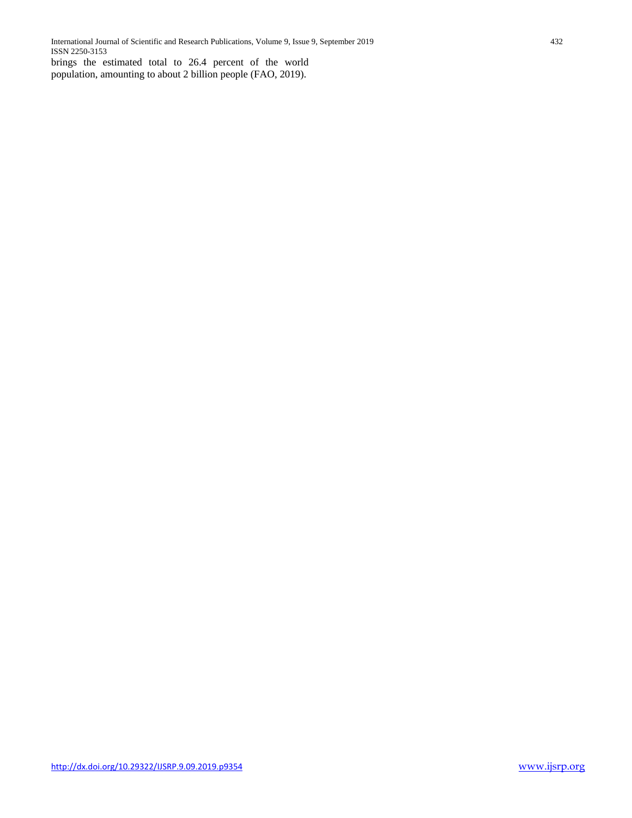brings the estimated total to 26.4 percent of the world population, amounting to about 2 billion people (FAO, 2019).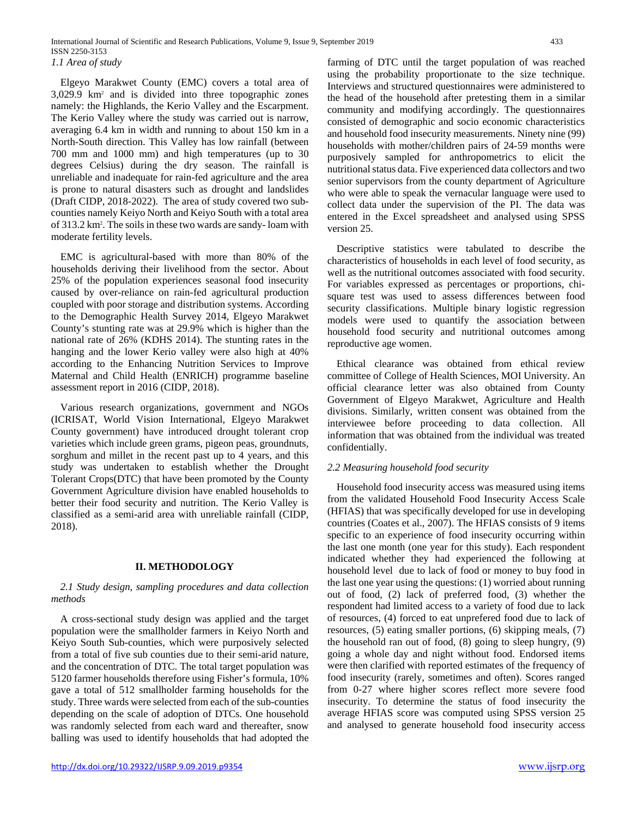Elgeyo Marakwet County (EMC) covers a total area of 3,029.9 km2 and is divided into three topographic zones namely: the Highlands, the Kerio Valley and the Escarpment. The Kerio Valley where the study was carried out is narrow, averaging 6.4 km in width and running to about 150 km in a North-South direction. This Valley has low rainfall (between 700 mm and 1000 mm) and high temperatures (up to 30 degrees Celsius) during the dry season. The rainfall is unreliable and inadequate for rain-fed agriculture and the area is prone to natural disasters such as drought and landslides (Draft CIDP, 2018-2022). The area of study covered two subcounties namely Keiyo North and Keiyo South with a total area of 313.2 km2 . The soils in these two wards are sandy- loam with moderate fertility levels.

EMC is agricultural-based with more than 80% of the households deriving their livelihood from the sector. About 25% of the population experiences seasonal food insecurity caused by over-reliance on rain-fed agricultural production coupled with poor storage and distribution systems. According to the Demographic Health Survey 2014, Elgeyo Marakwet County's stunting rate was at 29.9% which is higher than the national rate of 26% (KDHS 2014). The stunting rates in the hanging and the lower Kerio valley were also high at 40% according to the Enhancing Nutrition Services to Improve Maternal and Child Health (ENRICH) programme baseline assessment report in 2016 (CIDP, 2018).

Various research organizations, government and NGOs (ICRISAT, World Vision International, Elgeyo Marakwet County government) have introduced drought tolerant crop varieties which include green grams, pigeon peas, groundnuts, sorghum and millet in the recent past up to 4 years, and this study was undertaken to establish whether the Drought Tolerant Crops(DTC) that have been promoted by the County Government Agriculture division have enabled households to better their food security and nutrition. The Kerio Valley is classified as a semi-arid area with unreliable rainfall (CIDP, 2018).

## **II. METHODOLOGY**

## *2.1 Study design, sampling procedures and data collection methods*

A cross-sectional study design was applied and the target population were the smallholder farmers in Keiyo North and Keiyo South Sub-counties, which were purposively selected from a total of five sub counties due to their semi-arid nature, and the concentration of DTC. The total target population was 5120 farmer households therefore using Fisher's formula, 10% gave a total of 512 smallholder farming households for the study. Three wards were selected from each of the sub-counties depending on the scale of adoption of DTCs. One household was randomly selected from each ward and thereafter, snow balling was used to identify households that had adopted the

farming of DTC until the target population of was reached using the probability proportionate to the size technique. Interviews and structured questionnaires were administered to the head of the household after pretesting them in a similar community and modifying accordingly. The questionnaires consisted of demographic and socio economic characteristics and household food insecurity measurements. Ninety nine (99) households with mother/children pairs of 24-59 months were purposively sampled for anthropometrics to elicit the nutritional status data. Five experienced data collectors and two senior supervisors from the county department of Agriculture who were able to speak the vernacular language were used to collect data under the supervision of the PI. The data was entered in the Excel spreadsheet and analysed using SPSS version 25.

Descriptive statistics were tabulated to describe the characteristics of households in each level of food security, as well as the nutritional outcomes associated with food security. For variables expressed as percentages or proportions, chisquare test was used to assess differences between food security classifications. Multiple binary logistic regression models were used to quantify the association between household food security and nutritional outcomes among reproductive age women.

Ethical clearance was obtained from ethical review committee of College of Health Sciences, MOI University. An official clearance letter was also obtained from County Government of Elgeyo Marakwet, Agriculture and Health divisions. Similarly, written consent was obtained from the interviewee before proceeding to data collection. All information that was obtained from the individual was treated confidentially.

## *2.2 Measuring household food security*

Household food insecurity access was measured using items from the validated Household Food Insecurity Access Scale (HFIAS) that was specifically developed for use in developing countries (Coates et al., 2007). The HFIAS consists of 9 items specific to an experience of food insecurity occurring within the last one month (one year for this study). Each respondent indicated whether they had experienced the following at household level due to lack of food or money to buy food in the last one year using the questions: (1) worried about running out of food, (2) lack of preferred food, (3) whether the respondent had limited access to a variety of food due to lack of resources, (4) forced to eat unprefered food due to lack of resources, (5) eating smaller portions, (6) skipping meals, (7) the household ran out of food, (8) going to sleep hungry, (9) going a whole day and night without food. Endorsed items were then clarified with reported estimates of the frequency of food insecurity (rarely, sometimes and often). Scores ranged from 0-27 where higher scores reflect more severe food insecurity. To determine the status of food insecurity the average HFIAS score was computed using SPSS version 25 and analysed to generate household food insecurity access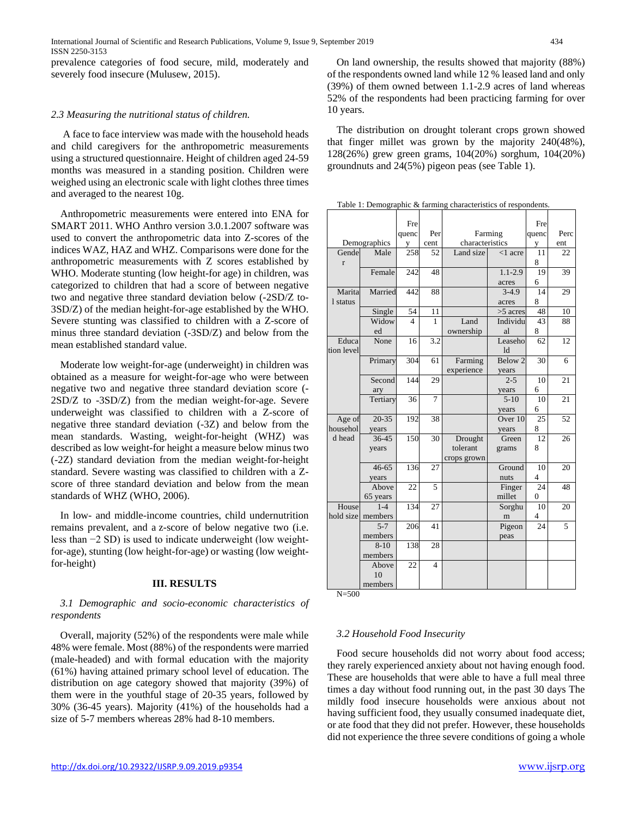prevalence categories of food secure, mild, moderately and severely food insecure (Mulusew, 2015).

#### *2.3 Measuring the nutritional status of children.*

A face to face interview was made with the household heads and child caregivers for the anthropometric measurements using a structured questionnaire. Height of children aged 24-59 months was measured in a standing position. Children were weighed using an electronic scale with light clothes three times and averaged to the nearest 10g.

Anthropometric measurements were entered into ENA for SMART 2011. WHO Anthro version 3.0.1.2007 software was used to convert the anthropometric data into Z-scores of the indices WAZ, HAZ and WHZ. Comparisons were done for the anthropometric measurements with Z scores established by WHO. Moderate stunting (low height-for age) in children, was categorized to children that had a score of between negative two and negative three standard deviation below (-2SD/Z to-3SD/Z) of the median height-for-age established by the WHO. Severe stunting was classified to children with a Z-score of minus three standard deviation (-3SD/Z) and below from the mean established standard value.

Moderate low weight-for-age (underweight) in children was obtained as a measure for weight-for-age who were between negative two and negative three standard deviation score (- 2SD/Z to -3SD/Z) from the median weight-for-age. Severe underweight was classified to children with a Z-score of negative three standard deviation (-3Z) and below from the mean standards. Wasting, weight-for-height (WHZ) was described as low weight-for height a measure below minus two (-2Z) standard deviation from the median weight-for-height standard. Severe wasting was classified to children with a Zscore of three standard deviation and below from the mean standards of WHZ (WHO, 2006).

In low- and middle-income countries, child undernutrition remains prevalent, and a z-score of below negative two (i.e. less than −2 SD) is used to indicate underweight (low weightfor-age), stunting (low height-for-age) or wasting (low weightfor-height)

## **III. RESULTS**

## *3.1 Demographic and socio-economic characteristics of respondents*

Overall, majority (52%) of the respondents were male while 48% were female. Most (88%) of the respondents were married (male-headed) and with formal education with the majority (61%) having attained primary school level of education. The distribution on age category showed that majority (39%) of them were in the youthful stage of 20-35 years, followed by 30% (36-45 years). Majority (41%) of the households had a size of 5-7 members whereas 28% had 8-10 members.

On land ownership, the results showed that majority (88%) of the respondents owned land while 12 % leased land and only (39%) of them owned between 1.1-2.9 acres of land whereas 52% of the respondents had been practicing farming for over 10 years.

The distribution on drought tolerant crops grown showed that finger millet was grown by the majority 240(48%), 128(26%) grew green grams, 104(20%) sorghum, 104(20%) groundnuts and 24(5%) pigeon peas (see Table 1).

Table 1: Demographic & farming characteristics of respondents.

|              |              | Fre   |      |                 | Fre                        |                |      |
|--------------|--------------|-------|------|-----------------|----------------------------|----------------|------|
|              |              | quenc | Per  | Farming         |                            | quenc          | Perc |
|              | Demographics | V     | cent | characteristics |                            | V              | ent  |
| Gende        | Male         | 258   | 52   | Land size       | $<$ 1 acre                 | 11             | 22   |
| $\mathbf{r}$ |              |       |      |                 |                            | 8              |      |
|              | Female       | 242   | 48   |                 | $1.1 - 2.9$                | 19             | 39   |
|              |              |       |      |                 | acres                      | 6              |      |
| Marita       | Married      | 442   | 88   |                 | $3-4.9$                    | 14             | 29   |
| 1 status     |              |       |      |                 | acres                      | 8              |      |
|              | Single       | 54    | 11   |                 | $>5$ acres                 | 48             | 10   |
|              | Widow        | 4     | 1    | Land            | Individu                   | 43             | 88   |
|              | ed           |       |      | ownership       | al                         | 8              |      |
| Educa        | None         | 16    | 3.2  |                 | Leaseho                    | 62             | 12   |
| tion level   |              |       |      |                 | $\mathop{\rm Id}\nolimits$ |                |      |
|              | Primary      | 304   | 61   | Farming         | Below 2                    | 30             | 6    |
|              |              |       |      | experience      | years                      |                |      |
|              | Second       | 144   | 29   |                 | $2 - 5$                    | 10             | 21   |
|              | ary          |       |      |                 | years                      | 6              |      |
|              | Tertiary     | 36    | 7    |                 | $5-10$                     | 10             | 21   |
|              |              |       |      |                 | years                      | 6              |      |
| Age of       | $20 - 35$    | 192   | 38   |                 | Over 10                    | 25             | 52   |
| househol     | years        |       |      |                 | years                      | 8              |      |
| d head       | 36-45        | 150   | 30   | Drought         | Green                      | 12             | 26   |
|              | years        |       |      | tolerant        | grams                      | 8              |      |
|              |              |       |      | crops grown     |                            |                |      |
|              | $46 - 65$    | 136   | 27   |                 | Ground                     | 10             | 20   |
|              | years        |       |      |                 | nuts                       | $\overline{4}$ |      |
|              | Above        | 22    | 5    |                 | Finger                     | 24             | 48   |
|              | 65 years     |       |      |                 | millet                     | $\mathbf{0}$   |      |
| House        | $1 - 4$      | 134   | 27   |                 | Sorghu                     | 10             | 20   |
| hold size    | members      |       |      |                 | m                          | $\overline{4}$ |      |
|              | $5 - 7$      | 206   | 41   |                 | Pigeon                     | 24             | 5    |
|              | members      |       |      |                 | peas                       |                |      |
|              | $8-10$       | 138   | 28   |                 |                            |                |      |
|              | members      |       |      |                 |                            |                |      |
|              | Above        | 22    | 4    |                 |                            |                |      |
|              | 10           |       |      |                 |                            |                |      |
|              | members      |       |      |                 |                            |                |      |

 $N=500$ 

## *3.2 Household Food Insecurity*

Food secure households did not worry about food access; they rarely experienced anxiety about not having enough food. These are households that were able to have a full meal three times a day without food running out, in the past 30 days The mildly food insecure households were anxious about not having sufficient food, they usually consumed inadequate diet, or ate food that they did not prefer. However, these households did not experience the three severe conditions of going a whole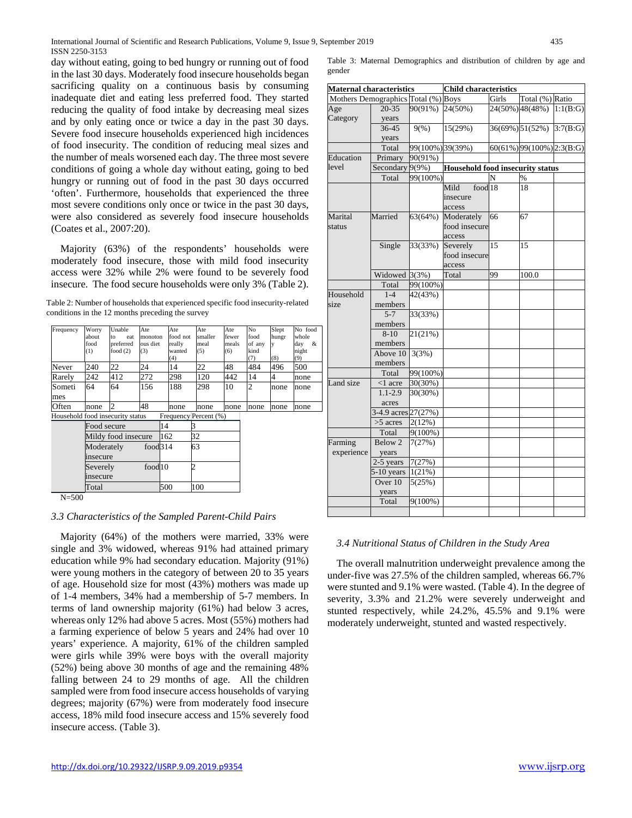day without eating, going to bed hungry or running out of food in the last 30 days. Moderately food insecure households began sacrificing quality on a continuous basis by consuming inadequate diet and eating less preferred food. They started reducing the quality of food intake by decreasing meal sizes and by only eating once or twice a day in the past 30 days. Severe food insecure households experienced high incidences of food insecurity. The condition of reducing meal sizes and the number of meals worsened each day. The three most severe conditions of going a whole day without eating, going to bed hungry or running out of food in the past 30 days occurred 'often'. Furthermore, households that experienced the three most severe conditions only once or twice in the past 30 days, were also considered as severely food insecure households (Coates et al., 2007:20).

Majority (63%) of the respondents' households were moderately food insecure, those with mild food insecurity access were 32% while 2% were found to be severely food insecure. The food secure households were only 3% (Table 2).

Table 2: Number of households that experienced specific food insecurity-related conditions in the 12 months preceding the survey

| Frequency                        | Worry                          | Unable              | Ate                 | Ate                   | Ate     | Ate   | No             | Slept | No food  |
|----------------------------------|--------------------------------|---------------------|---------------------|-----------------------|---------|-------|----------------|-------|----------|
|                                  | about                          | eat<br>to           | monoton             | food not              | smaller | fewer | food           | hungr | whole    |
|                                  | food                           | preferred           | ous diet            | really                | meal    | meals | of any         | y     | &<br>day |
|                                  | (1)                            | food $(2)$          | (3)                 | wanted                | (5)     | (6)   | kind           |       | night    |
|                                  |                                |                     |                     | (4)                   |         |       | (7)            | (8)   | (9)      |
| Never                            | 240                            | 22                  | 24                  | 14                    | 22      | 48    | 484            | 496   | 500      |
| Rarely                           | 242                            | 412                 | 272                 | 298                   | 120     | 442   | 14             | 4     | none     |
| Someti                           | 64                             | 64                  | 156                 | 188                   | 298     | 10    | $\overline{2}$ | none  | none     |
| mes                              |                                |                     |                     |                       |         |       |                |       |          |
| Often                            | none                           | $\overline{c}$      | 48                  | none                  | none    | none  | none           | none  | none     |
| Household food insecurity status |                                |                     |                     | Frequency Percent (%) |         |       |                |       |          |
|                                  | Food secure                    |                     |                     | 14                    | 3       |       |                |       |          |
|                                  |                                | Mildy food insecure |                     | 162                   | 32      |       |                |       |          |
|                                  | Moderately                     |                     | food <sub>314</sub> |                       | 63      |       |                |       |          |
|                                  | insecure                       |                     |                     |                       |         |       |                |       |          |
|                                  | food <sub>10</sub><br>Severely |                     |                     | 2                     |         |       |                |       |          |
| insecure                         |                                |                     |                     |                       |         |       |                |       |          |
|                                  | Total                          |                     |                     | 500                   | 100     |       |                |       |          |
| $N - 500$                        |                                |                     |                     |                       |         |       |                |       |          |

N=500

# *3.3 Characteristics of the Sampled Parent-Child Pairs*

Majority (64%) of the mothers were married, 33% were single and 3% widowed, whereas 91% had attained primary education while 9% had secondary education. Majority (91%) were young mothers in the category of between 20 to 35 years of age. Household size for most (43%) mothers was made up of 1-4 members, 34% had a membership of 5-7 members. In terms of land ownership majority (61%) had below 3 acres, whereas only 12% had above 5 acres. Most (55%) mothers had a farming experience of below 5 years and 24% had over 10 years' experience. A majority, 61% of the children sampled were girls while 39% were boys with the overall majority (52%) being above 30 months of age and the remaining 48% falling between 24 to 29 months of age. All the children sampled were from food insecure access households of varying degrees; majority (67%) were from moderately food insecure access, 18% mild food insecure access and 15% severely food insecure access. (Table 3).

|        |  | Table 3: Maternal Demographics and distribution of children by age and |  |  |  |  |
|--------|--|------------------------------------------------------------------------|--|--|--|--|
| gender |  |                                                                        |  |  |  |  |

| <b>Maternal characteristics</b>     |                     |                  | <b>Child characteristics</b>            |    |                              |          |  |  |  |
|-------------------------------------|---------------------|------------------|-----------------------------------------|----|------------------------------|----------|--|--|--|
| Mothers Demographics Total (%) Boys |                     |                  | Girls<br>Total (%) Ratio                |    |                              |          |  |  |  |
| Age                                 | $20 - 35$           | 90(91%)          | 24(50%)                                 |    | 24(50%) 48(48%)              | 1:1(B:G) |  |  |  |
| Category                            | years               |                  |                                         |    |                              |          |  |  |  |
|                                     | $36 - 45$           | 9(%)             | 15(29%)                                 |    | 36(69%) 51(52%)              | 3:7(B:G) |  |  |  |
|                                     | years               |                  |                                         |    |                              |          |  |  |  |
|                                     | Total               | 99(100%) 39(39%) |                                         |    | $60(61\%)$ 99(100%) 2:3(B:G) |          |  |  |  |
| Education                           | Primary             | 90(91%)          |                                         |    |                              |          |  |  |  |
| level                               | Secondary 9(9%)     |                  | <b>Household food insecurity status</b> |    |                              |          |  |  |  |
|                                     | Total               | 99(100%)         |                                         | N  | $\%$                         |          |  |  |  |
|                                     |                     |                  | food 18<br>Mild                         |    | 18                           |          |  |  |  |
|                                     |                     |                  | insecure                                |    |                              |          |  |  |  |
|                                     |                     |                  | access                                  |    |                              |          |  |  |  |
| Marital                             | Married             | 63(64%)          | Moderately                              | 66 | 67                           |          |  |  |  |
| status                              |                     |                  | food insecure                           |    |                              |          |  |  |  |
|                                     |                     |                  | access                                  |    |                              |          |  |  |  |
|                                     | Single              | 33(33%)          | Severely                                | 15 | 15                           |          |  |  |  |
|                                     |                     |                  | food insecure                           |    |                              |          |  |  |  |
|                                     |                     |                  | access                                  |    |                              |          |  |  |  |
|                                     | Widowed $3(3%)$     |                  | Total                                   | 99 | 100.0                        |          |  |  |  |
|                                     | Total               | 99(100%)         |                                         |    |                              |          |  |  |  |
| Household                           | $1 - 4$             | 42(43%)          |                                         |    |                              |          |  |  |  |
| size                                |                     |                  |                                         |    |                              |          |  |  |  |
|                                     | members<br>$5 - 7$  |                  |                                         |    |                              |          |  |  |  |
|                                     |                     | 33(33%)          |                                         |    |                              |          |  |  |  |
|                                     | members             |                  |                                         |    |                              |          |  |  |  |
|                                     | $8 - 10$            | 21(21%)          |                                         |    |                              |          |  |  |  |
|                                     | members             |                  |                                         |    |                              |          |  |  |  |
|                                     | Above 10            | 3(3%)            |                                         |    |                              |          |  |  |  |
|                                     | members             |                  |                                         |    |                              |          |  |  |  |
|                                     | Total               | 99(100%)         |                                         |    |                              |          |  |  |  |
| Land size                           | $<$ 1 acre          | 30(30%)          |                                         |    |                              |          |  |  |  |
|                                     | $1.1 - 2.9$         | 30(30%)          |                                         |    |                              |          |  |  |  |
|                                     | acres               |                  |                                         |    |                              |          |  |  |  |
|                                     | 3-4.9 acres 27(27%) |                  |                                         |    |                              |          |  |  |  |
|                                     | >5 acres            | 2(12%)           |                                         |    |                              |          |  |  |  |
|                                     | Total               | $9(100\%)$       |                                         |    |                              |          |  |  |  |
| Farming                             | Below 2             | 7(27%)           |                                         |    |                              |          |  |  |  |
| experience                          | years               |                  |                                         |    |                              |          |  |  |  |
|                                     | 2-5 years           | 7(27%)           |                                         |    |                              |          |  |  |  |
|                                     | $5-10$ years        | 1(21%)           |                                         |    |                              |          |  |  |  |
|                                     | Over 10             | 5(25%)           |                                         |    |                              |          |  |  |  |
|                                     | years               |                  |                                         |    |                              |          |  |  |  |
|                                     | Total               | $9(100\%)$       |                                         |    |                              |          |  |  |  |
|                                     |                     |                  |                                         |    |                              |          |  |  |  |

## *3.4 Nutritional Status of Children in the Study Area*

The overall malnutrition underweight prevalence among the under-five was 27.5% of the children sampled, whereas 66.7% were stunted and 9.1% were wasted. (Table 4). In the degree of severity, 3.3% and 21.2% were severely underweight and stunted respectively, while 24.2%, 45.5% and 9.1% were moderately underweight, stunted and wasted respectively.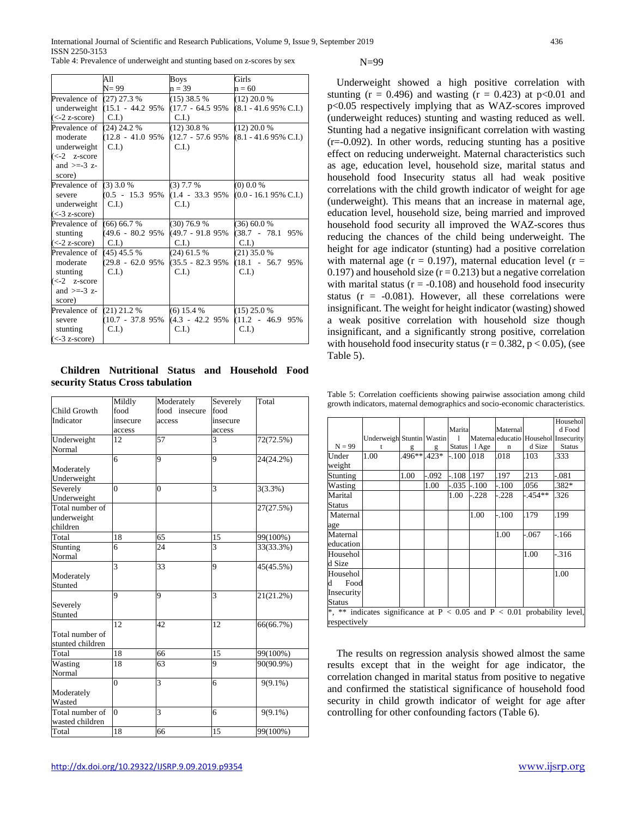International Journal of Scientific and Research Publications, Volume 9, Issue 9, September 2019 436 ISSN 2250-3153 Table 4: Prevalence of underweight and stunting based on z-scores by sex

|                                   | All                             | <b>Boys</b>         | Girls                           |
|-----------------------------------|---------------------------------|---------------------|---------------------------------|
|                                   | $N=99$                          | $n = 39$            | $n = 60$                        |
| Prevalence of $(27)$ 27.3 %       |                                 | $(15)$ 38.5 %       | $(12)$ 20.0 %                   |
|                                   | underweight $(15.1 - 44.2)$ 95% | $(17.7 - 64.595\%$  | $(8.1 - 41.695\% \text{ C.I.})$ |
| $\left( < -2 \right)$ z-score)    | $CL$ .                          | C.I.                |                                 |
| Prevalence of $(24)$ 24.2 %       |                                 | $(12)$ 30.8 %       | $(12)$ 20.0 %                   |
| moderate                          | $(12.8 - 41.095\%)$             | $(12.7 - 57.695\%)$ | $(8.1 - 41.695\% \text{ C.I.})$ |
| underweight                       | $C.I.$ )                        | C.I.                |                                 |
| $\left(\leq -2\right)$ z-score    |                                 |                     |                                 |
| and $>=-3$ z-                     |                                 |                     |                                 |
| score)                            |                                 |                     |                                 |
| Prevalence of $(3)$ 3.0 %         |                                 | $(3)$ 7.7 %         | $(0)$ 0.0 %                     |
| severe                            | $(0.5 - 15.3 \, 95\%)$          | $(1.4 - 33.395\%$   | $(0.0 - 16.195\% \text{ C.I.})$ |
| underweight                       | C.I.                            | C.I.                |                                 |
| $\left(\leq -3\right)$ z-score)   |                                 |                     |                                 |
| Prevalence of                     | $(66)$ 66.7 %                   | (30) 76.9 %         | $(36)$ 60.0 %                   |
| stunting                          | (49.6 - 80.2 95%)               | (49.7 - 91.8 95%    | $(38.7 - 78.1 95\%$             |
| $\left(\text{<-2 z-score}\right)$ | C.I.                            | C.I.                | C.I.                            |
| Prevalence of                     | $(45)$ 45.5 %                   | $(24)$ 61.5 %       | $(21)$ 35.0 %                   |
| moderate                          | $(29.8 - 62.095\%)$             | $(35.5 - 82.395\%)$ | $(18.1 - 56.7 95\%)$            |
| stunting                          | $C.I.$ )                        | C.I.                | $C.I.$ )                        |
| $\left(\leq -2\right)$ z-score    |                                 |                     |                                 |
| and $>=-3$ z-                     |                                 |                     |                                 |
| score)                            |                                 |                     |                                 |
| Prevalence of $(21)$ 21.2 %       |                                 | $(6)$ 15.4 %        | $(15)$ 25.0 %                   |
| severe                            | $(10.7 - 37.895\%$              | (4.3 - 42.2 95%)    | $(11.2 - 46.9 95\%)$            |
| stunting                          | $C.I.$ )                        | C.I.                | $C.I.$ )                        |
| $\left(\leq -3\right)$ z-score)   |                                 |                     |                                 |

**Children Nutritional Status and Household Food security Status Cross tabulation**

|                  | Mildly         | Moderately    | Severely       | Total       |
|------------------|----------------|---------------|----------------|-------------|
| Child Growth     | food           | food insecure | food           |             |
| Indicator        | insecure       | access        | insecure       |             |
|                  | access         |               | access         |             |
| Underweight      | 12             | 57            | 3              | 72(72.5%)   |
| Normal           |                |               |                |             |
|                  | 6              | 9             | 9              | 24(24.2%)   |
| Moderately       |                |               |                |             |
| Underweight      |                |               |                |             |
| Severely         | $\Omega$       | $\theta$      | $\overline{3}$ | $3(3.3\%)$  |
| Underweight      |                |               |                |             |
| Total number of  |                |               |                | 27(27.5%)   |
| underweight      |                |               |                |             |
| children         |                |               |                |             |
| Total            | 18             | 65            | 15             | $99(100\%)$ |
| Stunting         | 6              | 24            | $\overline{3}$ | 33(33.3%)   |
| Normal           |                |               |                |             |
|                  | $\overline{3}$ | 33            | 9              | 45(45.5%)   |
| Moderately       |                |               |                |             |
| Stunted          |                |               |                |             |
|                  | 9              | 9             | 3              | 21(21.2%)   |
| Severely         |                |               |                |             |
| Stunted          |                |               |                |             |
|                  | 12             | 42            | 12             | 66(66.7%)   |
| Total number of  |                |               |                |             |
| stunted children |                |               |                |             |
| Total            | 18             | 66            | 15             | 99(100%)    |
| Wasting          | 18             | 63            | 9              | 90(90.9%)   |
| Normal           |                |               |                |             |
|                  | $\overline{0}$ | 3             | 6              | $9(9.1\%)$  |
| Moderately       |                |               |                |             |
| Wasted           |                |               |                |             |
| Total number of  | $\theta$       | 3             | 6              | $9(9.1\%)$  |
| wasted children  |                |               |                |             |
| Total            | 18             | 66            | 15             | 99(100%)    |

N=99

Underweight showed a high positive correlation with stunting ( $r = 0.496$ ) and wasting ( $r = 0.423$ ) at  $p < 0.01$  and p<0.05 respectively implying that as WAZ-scores improved (underweight reduces) stunting and wasting reduced as well. Stunting had a negative insignificant correlation with wasting (r=-0.092). In other words, reducing stunting has a positive effect on reducing underweight. Maternal characteristics such as age, education level, household size, marital status and household food Insecurity status all had weak positive correlations with the child growth indicator of weight for age (underweight). This means that an increase in maternal age, education level, household size, being married and improved household food security all improved the WAZ-scores thus reducing the chances of the child being underweight. The height for age indicator (stunting) had a positive correlation with maternal age ( $r = 0.197$ ), maternal education level ( $r =$ 0.197) and household size  $(r = 0.213)$  but a negative correlation with marital status ( $r = -0.108$ ) and household food insecurity status ( $r = -0.081$ ). However, all these correlations were insignificant. The weight for height indicator (wasting) showed a weak positive correlation with household size though insignificant, and a significantly strong positive, correlation with household food insecurity status ( $r = 0.382$ ,  $p < 0.05$ ), (see Table 5).

Table 5: Correlation coefficients showing pairwise association among child growth indicators, maternal demographics and socio-economic characteristics.

|                 |                                                                              |              |          |               |         |             |          | Househol                             |  |
|-----------------|------------------------------------------------------------------------------|--------------|----------|---------------|---------|-------------|----------|--------------------------------------|--|
|                 |                                                                              |              |          | Marita        |         | Maternal    |          | d Food                               |  |
|                 | Underweigh Stuntin Wastin                                                    |              |          | $\mathbf{1}$  |         |             |          | Materna educatio Househol Insecurity |  |
| $N = 99$        |                                                                              | $\mathbf{g}$ | g        | <b>Status</b> | 1 Age   | $\mathbf n$ | d Size   | <b>Status</b>                        |  |
| Under<br>weight | 1.00                                                                         | 496**        | $.423*$  | $-.100$       | .018    | .018        | .103     | .333                                 |  |
| Stunting        |                                                                              | 1.00         | $-0.092$ | -.108         | .197    | .197        | 213      | -.081                                |  |
| Wasting         |                                                                              |              | 1.00     | -.035         | $-.100$ | -.100       | .056     | $.382*$                              |  |
| Marital         |                                                                              |              |          | 1.00          | $-228$  | -.228       | $-454**$ | .326                                 |  |
| Status          |                                                                              |              |          |               |         |             |          |                                      |  |
| Maternal        |                                                                              |              |          |               | 1.00    | -.100       | .179     | .199                                 |  |
| age             |                                                                              |              |          |               |         |             |          |                                      |  |
| Maternal        |                                                                              |              |          |               |         | 1.00        | -.067    | $-166$                               |  |
| education       |                                                                              |              |          |               |         |             |          |                                      |  |
| Househol        |                                                                              |              |          |               |         |             | 1.00     | $-316$                               |  |
| d Size          |                                                                              |              |          |               |         |             |          |                                      |  |
| Househol        |                                                                              |              |          |               |         |             |          | 1.00                                 |  |
| d<br>Food       |                                                                              |              |          |               |         |             |          |                                      |  |
| Insecurity      |                                                                              |              |          |               |         |             |          |                                      |  |
| <b>Status</b>   |                                                                              |              |          |               |         |             |          |                                      |  |
|                 | *, ** indicates significance at $P < 0.05$ and $P < 0.01$ probability level, |              |          |               |         |             |          |                                      |  |
| respectively    |                                                                              |              |          |               |         |             |          |                                      |  |

The results on regression analysis showed almost the same results except that in the weight for age indicator, the correlation changed in marital status from positive to negative and confirmed the statistical significance of household food security in child growth indicator of weight for age after controlling for other confounding factors (Table 6).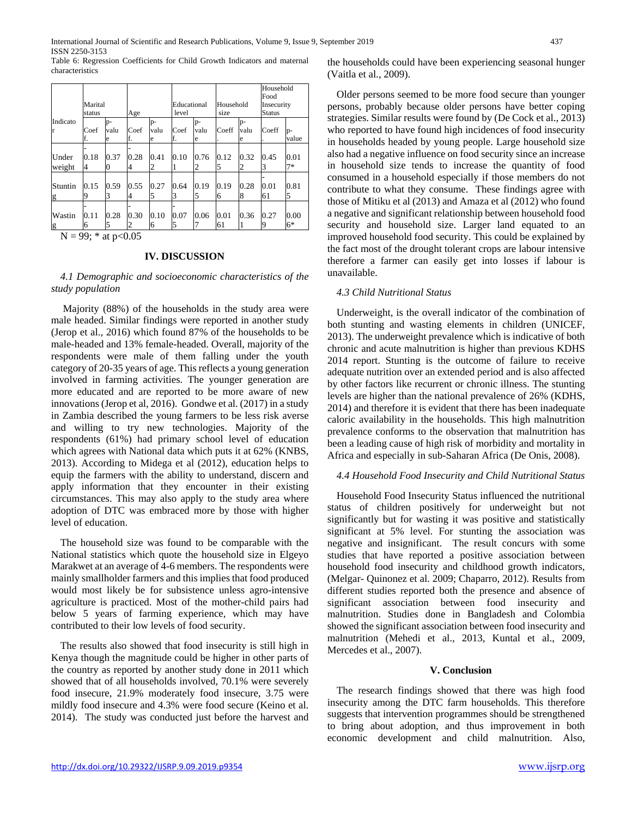Table 6: Regression Coefficients for Child Growth Indicators and maternal characteristics

|                 |                   |                 |            |                 |                      |                 |                   | Household<br>Food |                             |               |
|-----------------|-------------------|-----------------|------------|-----------------|----------------------|-----------------|-------------------|-------------------|-----------------------------|---------------|
|                 | Marital<br>status |                 | Age        |                 | Educational<br>level |                 | Household<br>size |                   | Insecurity<br><b>Status</b> |               |
| Indicato        | Coef<br>f.        | p-<br>valu<br>e | Coef<br>f. | p-<br>valu<br>e | Coef<br>f.           | p-<br>valu<br>e | Coeff             | p-<br>valu<br>e   | Coeff                       | $p-$<br>value |
| Under<br>weight | 0.18<br>4         | 0.37<br>O       | 0.28<br>4  | 0.41<br>2       | 0.10                 | 0.76<br>2       | 0.12<br>5         | 0.32<br>2         | 0.45<br>3                   | 0.01<br>$7*$  |
| Stuntin<br>g    | 0.15<br>9         | 0.59<br>3       | 0.55<br>4  | 0.27<br>5       | 0.64<br>3            | 0.19<br>5       | 0.19<br>6         | 0.28<br>8         | 0.01<br>61                  | 0.81<br>5     |
| Wastin<br>g     | 0.11<br>6         | 0.28<br>5       | 0.30<br>2  | 0.10<br>6       | 0.07<br>5            | 0.06            | 0.01<br>61        | 0.36              | 0.27<br>Q                   | 0.00<br>$6*$  |

 $N = 99$ ; \* at p<0.05

#### **IV. DISCUSSION**

## *4.1 Demographic and socioeconomic characteristics of the study population*

Majority (88%) of the households in the study area were male headed. Similar findings were reported in another study (Jerop et al., 2016) which found 87% of the households to be male-headed and 13% female-headed. Overall, majority of the respondents were male of them falling under the youth category of 20-35 years of age. This reflects a young generation involved in farming activities. The younger generation are more educated and are reported to be more aware of new innovations (Jerop et al, 2016). Gondwe et al. (2017) in a study in Zambia described the young farmers to be less risk averse and willing to try new technologies. Majority of the respondents (61%) had primary school level of education which agrees with National data which puts it at 62% (KNBS, 2013). According to Midega et al (2012), education helps to equip the farmers with the ability to understand, discern and apply information that they encounter in their existing circumstances. This may also apply to the study area where adoption of DTC was embraced more by those with higher level of education.

The household size was found to be comparable with the National statistics which quote the household size in Elgeyo Marakwet at an average of 4-6 members. The respondents were mainly smallholder farmers and this implies that food produced would most likely be for subsistence unless agro-intensive agriculture is practiced. Most of the mother-child pairs had below 5 years of farming experience, which may have contributed to their low levels of food security.

The results also showed that food insecurity is still high in Kenya though the magnitude could be higher in other parts of the country as reported by another study done in 2011 which showed that of all households involved, 70.1% were severely food insecure, 21.9% moderately food insecure, 3.75 were mildly food insecure and 4.3% were food secure (Keino et al. 2014). The study was conducted just before the harvest and the households could have been experiencing seasonal hunger (Vaitla et al., 2009).

Older persons seemed to be more food secure than younger persons, probably because older persons have better coping strategies. Similar results were found by (De Cock et al., 2013) who reported to have found high incidences of food insecurity in households headed by young people. Large household size also had a negative influence on food security since an increase in household size tends to increase the quantity of food consumed in a household especially if those members do not contribute to what they consume. These findings agree with those of Mitiku et al (2013) and Amaza et al (2012) who found a negative and significant relationship between household food security and household size. Larger land equated to an improved household food security. This could be explained by the fact most of the drought tolerant crops are labour intensive therefore a farmer can easily get into losses if labour is unavailable.

## *4.3 Child Nutritional Status*

Underweight, is the overall indicator of the combination of both stunting and wasting elements in children (UNICEF, 2013). The underweight prevalence which is indicative of both chronic and acute malnutrition is higher than previous KDHS 2014 report. Stunting is the outcome of failure to receive adequate nutrition over an extended period and is also affected by other factors like recurrent or chronic illness. The stunting levels are higher than the national prevalence of 26% (KDHS, 2014) and therefore it is evident that there has been inadequate caloric availability in the households. This high malnutrition prevalence conforms to the observation that malnutrition has been a leading cause of high risk of morbidity and mortality in Africa and especially in sub-Saharan Africa (De Onis, 2008).

# *4.4 Household Food Insecurity and Child Nutritional Status*

Household Food Insecurity Status influenced the nutritional status of children positively for underweight but not significantly but for wasting it was positive and statistically significant at 5% level. For stunting the association was negative and insignificant. The result concurs with some studies that have reported a positive association between household food insecurity and childhood growth indicators, (Melgar- Quinonez et al. 2009; Chaparro, 2012). Results from different studies reported both the presence and absence of significant association between food insecurity and malnutrition. Studies done in Bangladesh and Colombia showed the significant association between food insecurity and malnutrition (Mehedi et al., 2013, Kuntal et al., 2009, Mercedes et al., 2007).

## **V. Conclusion**

The research findings showed that there was high food insecurity among the DTC farm households. This therefore suggests that intervention programmes should be strengthened to bring about adoption, and thus improvement in both economic development and child malnutrition. Also,